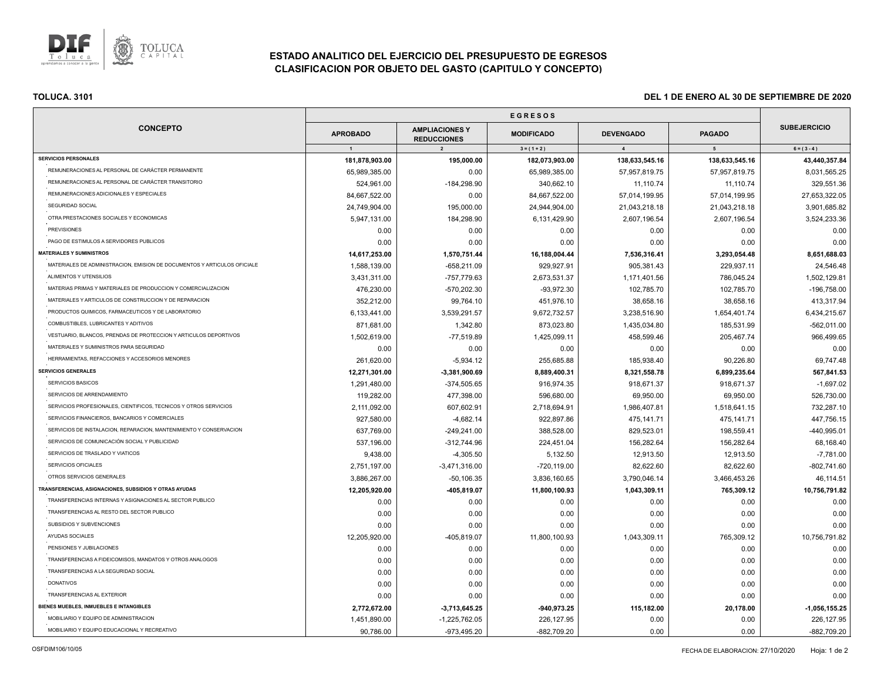

# **ESTADO ANALITICO DEL EJERCICIO DEL PRESUPUESTO DE EGRESOS CLASIFICACION POR OBJETO DEL GASTO (CAPITULO Y CONCEPTO)**

| <b>CONCEPTO</b>                                                          | <b>APROBADO</b> | <b>AMPLIACIONES Y</b><br><b>REDUCCIONES</b> | <b>MODIFICADO</b> | <b>DEVENGADO</b> | <b>PAGADO</b>  | <b>SUBEJERCICIO</b>           |
|--------------------------------------------------------------------------|-----------------|---------------------------------------------|-------------------|------------------|----------------|-------------------------------|
|                                                                          | $\overline{1}$  | $\overline{2}$                              | $3 = (1 + 2)$     | $\overline{4}$   | 5 <sub>5</sub> | $6 = (3 - 4)$                 |
| <b>SERVICIOS PERSONALES</b>                                              | 181,878,903.00  | 195,000.00                                  | 182,073,903.00    | 138,633,545.16   | 138,633,545.16 | 43,440,357.84                 |
| REMUNERACIONES AL PERSONAL DE CARÁCTER PERMANENTE                        | 65,989,385.00   | 0.00                                        | 65,989,385.00     | 57,957,819.75    | 57,957,819.75  | 8,031,565.25                  |
| REMUNERACIONES AL PERSONAL DE CARÁCTER TRANSITORIO                       | 524,961.00      | $-184,298.90$                               | 340,662.10        | 11,110.74        | 11,110.74      | 329,551.36                    |
| REMUNERACIONES ADICIONALES Y ESPECIALES                                  | 84,667,522.00   | 0.00                                        | 84,667,522.00     | 57,014,199.95    | 57,014,199.95  | 27,653,322.05                 |
| SEGURIDAD SOCIAL                                                         | 24,749,904.00   | 195,000.00                                  | 24,944,904.00     | 21,043,218.18    | 21,043,218.18  | 3,901,685.82                  |
| OTRA PRESTACIONES SOCIALES Y ECONOMICAS                                  | 5,947,131.00    | 184,298.90                                  | 6,131,429.90      | 2,607,196.54     | 2,607,196.54   | 3,524,233.36                  |
| <b>PREVISIONES</b>                                                       | 0.00            | 0.00                                        | 0.00              | 0.00             | 0.00           | 0.00                          |
| PAGO DE ESTIMULOS A SERVIDORES PUBLICOS                                  | 0.00            | 0.00                                        | 0.00              | 0.00             | 0.00           | 0.00                          |
| <b>MATERIALES Y SUMINISTROS</b>                                          | 14,617,253.00   | 1,570,751.44                                | 16,188,004.44     | 7,536,316.41     | 3,293,054.48   | 8,651,688.03                  |
| MATERIALES DE ADMINISTRACION, EMISION DE DOCUMENTOS Y ARTICULOS OFICIALE | 1,588,139.00    | $-658,211.09$                               | 929,927.91        | 905,381.43       | 229,937.11     | 24,546.48                     |
| ALIMENTOS Y UTENSILIOS                                                   | 3,431,311.00    | -757,779.63                                 | 2,673,531.37      | 1,171,401.56     | 786,045.24     | 1,502,129.81                  |
| MATERIAS PRIMAS Y MATERIALES DE PRODUCCION Y COMERCIALIZACION            | 476,230.00      | -570,202.30                                 | $-93,972.30$      | 102,785.70       | 102,785.70     | -196,758.00                   |
| MATERIALES Y ARTICULOS DE CONSTRUCCION Y DE REPARACION                   | 352,212.00      | 99,764.10                                   | 451,976.10        | 38,658.16        | 38,658.16      | 413,317.94                    |
| PRODUCTOS QUIMICOS, FARMACEUTICOS Y DE LABORATORIO                       | 6,133,441.00    | 3,539,291.57                                | 9,672,732.57      | 3,238,516.90     | 1,654,401.74   | 6,434,215.67                  |
| COMBUSTIBLES, LUBRICANTES Y ADITIVOS                                     | 871,681.00      | 1,342.80                                    | 873,023.80        | 1,435,034.80     | 185,531.99     | $-562,011.00$                 |
| VESTUARIO, BLANCOS, PRENDAS DE PROTECCION Y ARTICULOS DEPORTIVOS         | 1,502,619.00    | $-77,519.89$                                | 1,425,099.11      | 458,599.46       | 205,467.74     | 966,499.65                    |
| MATERIALES Y SUMINISTROS PARA SEGURIDAD                                  | 0.00            | 0.00                                        | 0.00              | 0.00             | 0.00           | 0.00                          |
| HERRAMIENTAS, REFACCIONES Y ACCESORIOS MENORES                           | 261,620.00      | $-5,934.12$                                 | 255,685.88        | 185,938.40       | 90,226.80      | 69,747.48                     |
| <b>SERVICIOS GENERALES</b>                                               | 12,271,301.00   | $-3,381,900.69$                             | 8,889,400.31      | 8,321,558.78     | 6,899,235.64   | 567,841.53                    |
| SERVICIOS BASICOS                                                        | 1,291,480.00    | -374,505.65                                 | 916,974.35        | 918,671.37       | 918,671.37     | $-1,697.02$                   |
| SERVICIOS DE ARRENDAMIENTO                                               | 119,282.00      | 477,398.00                                  | 596,680.00        | 69,950.00        | 69,950.00      | 526,730.00                    |
| SERVICIOS PROFESIONALES, CIENTIFICOS, TECNICOS Y OTROS SERVICIOS         | 2,111,092.00    | 607,602.91                                  | 2,718,694.91      | 1,986,407.81     | 1,518,641.15   | 732,287.10                    |
| SERVICIOS FINANCIEROS, BANCARIOS Y COMERCIALES                           | 927,580.00      | $-4,682.14$                                 | 922,897.86        | 475,141.71       | 475,141.71     | 447,756.15                    |
| SERVICIOS DE INSTALACION, REPARACION, MANTENIMIENTO Y CONSERVACION       | 637,769.00      | $-249,241.00$                               | 388,528.00        | 829,523.01       | 198,559.41     | -440,995.01                   |
| SERVICIOS DE COMUNICACIÓN SOCIAL Y PUBLICIDAD                            | 537,196.00      | $-312,744.96$                               | 224,451.04        | 156,282.64       | 156,282.64     | 68,168.40                     |
| SERVICIOS DE TRASLADO Y VIATICOS                                         | 9,438.00        | $-4,305.50$                                 | 5,132.50          | 12,913.50        | 12,913.50      | $-7,781.00$                   |
| SERVICIOS OFICIALES                                                      | 2,751,197.00    | $-3,471,316.00$                             | $-720, 119.00$    | 82,622.60        | 82,622.60      | $-802,741.60$                 |
| OTROS SERVICIOS GENERALES                                                | 3,886,267.00    | $-50,106.35$                                | 3,836,160.65      | 3,790,046.14     | 3,466,453.26   | 46,114.51                     |
| TRANSFERENCIAS, ASIGNACIONES, SUBSIDIOS Y OTRAS AYUDAS                   | 12,205,920.00   | -405,819.07                                 | 11,800,100.93     | 1,043,309.11     | 765,309.12     | 10,756,791.82                 |
| TRANSFERENCIAS INTERNAS Y ASIGNACIONES AL SECTOR PUBLICO                 | 0.00            | 0.00                                        | 0.00              | 0.00             | 0.00           | 0.00                          |
| TRANSFERENCIAS AL RESTO DEL SECTOR PUBLICO                               | 0.00            | 0.00                                        | 0.00              | 0.00             | 0.00           | 0.00                          |
| SUBSIDIOS Y SUBVENCIONES                                                 | 0.00            | 0.00                                        | 0.00              | 0.00             | 0.00           | 0.00                          |
| AYUDAS SOCIALES                                                          | 12,205,920.00   | -405,819.07                                 | 11,800,100.93     | 1,043,309.11     | 765,309.12     | 10,756,791.82                 |
| PENSIONES Y JUBILACIONES                                                 | 0.00            | 0.00                                        | 0.00              | 0.00             | 0.00           | 0.00                          |
| TRANSFERENCIAS A FIDEICOMISOS, MANDATOS Y OTROS ANALOGOS                 | 0.00            | 0.00                                        | 0.00              | 0.00             | 0.00           | 0.00                          |
| TRANSFERENCIAS A LA SEGURIDAD SOCIAL                                     | 0.00            | 0.00                                        | 0.00              | 0.00             | 0.00           | 0.00                          |
| <b>DONATIVOS</b>                                                         | 0.00            | 0.00                                        | 0.00              | 0.00             | 0.00           | 0.00                          |
| TRANSFERENCIAS AL EXTERIOR                                               | 0.00            | 0.00                                        | 0.00              | 0.00             | 0.00           | 0.00                          |
| BIENES MUEBLES, INMUEBLES E INTANGIBLES                                  | 2,772,672.00    |                                             | $-940,973.25$     | 115,182.00       | 20,178.00      |                               |
| MOBILIARIO Y EQUIPO DE ADMINISTRACION                                    | 1,451,890.00    | $-3,713,645.25$<br>$-1,225,762.05$          | 226,127.95        | 0.00             | 0.00           | $-1,056,155.25$<br>226,127.95 |
|                                                                          |                 |                                             |                   |                  |                |                               |